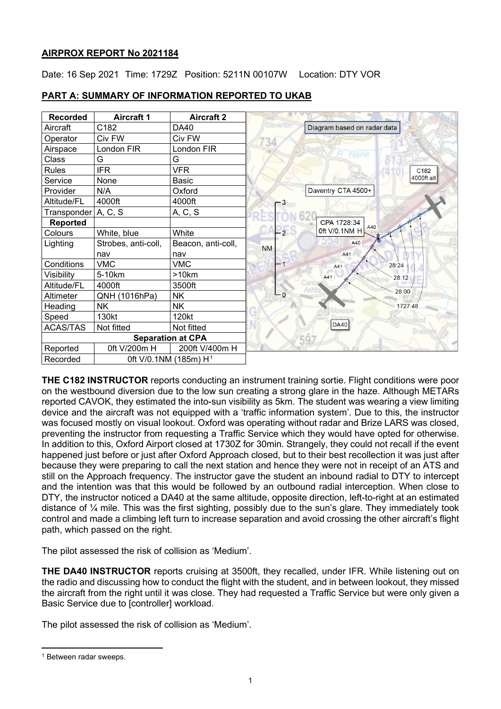# **AIRPROX REPORT No 2021184**

Date: 16 Sep 2021 Time: 1729Z Position: 5211N 00107W Location: DTY VOR

| <b>Recorded</b>                               | <b>Aircraft 1</b>   | <b>Aircraft 2</b>        |           |                             |
|-----------------------------------------------|---------------------|--------------------------|-----------|-----------------------------|
| Aircraft                                      | C182                | DA40                     |           | Diagram based on radar data |
| Operator                                      | Civ FW              | Civ FW                   |           |                             |
| Airspace                                      | London FIR          | London FIR               |           |                             |
| Class                                         | G                   | G                        |           |                             |
| <b>Rules</b>                                  | <b>IFR</b>          | <b>VFR</b>               |           | C182                        |
| Service                                       | None                | Basic                    |           | 4000ft alt                  |
| Provider                                      | N/A                 | Oxford                   |           | Daventry CTA 4500+          |
| Altitude/FL                                   | 4000ft              | 4000ft                   |           |                             |
| Transponder   A, C, S                         |                     | A, C, S                  |           |                             |
| <b>Reported</b>                               |                     |                          |           | CPA 1728:34<br>A40          |
| Colours                                       | White, blue         | White                    | $-2$      | 0ft V/0.1NM H               |
| Lighting                                      | Strobes, anti-coll, | Beacon, anti-coll,       | <b>NM</b> | A40                         |
|                                               | nav                 | nav                      |           | A41                         |
| Conditions                                    | <b>VMC</b>          | VMC                      |           | 28:24<br>A41                |
| Visibility                                    | 5-10km              | >10km                    |           | A41<br>28:12                |
| Altitude/FL                                   | 4000ft              | 3500ft                   |           |                             |
| Altimeter                                     | QNH (1016hPa)       | <b>NK</b>                | $-\circ$  | 28:00                       |
| Heading                                       | <b>NK</b>           | <b>NK</b>                |           | 1727:48                     |
| Speed                                         | 130kt               | 120kt                    |           |                             |
| <b>ACAS/TAS</b>                               | Not fitted          | Not fitted               |           | DA40                        |
|                                               |                     | <b>Separation at CPA</b> |           |                             |
| Reported                                      | 0ft V/200m H        | 200ft V/400m H           |           |                             |
| Recorded<br>0ft V/0.1NM (185m) H <sup>1</sup> |                     |                          |           |                             |

# **PART A: SUMMARY OF INFORMATION REPORTED TO UKAB**

**THE C182 INSTRUCTOR** reports conducting an instrument training sortie. Flight conditions were poor on the westbound diversion due to the low sun creating a strong glare in the haze. Although METARs reported CAVOK, they estimated the into-sun visibility as 5km. The student was wearing a view limiting device and the aircraft was not equipped with a 'traffic information system'. Due to this, the instructor was focused mostly on visual lookout. Oxford was operating without radar and Brize LARS was closed, preventing the instructor from requesting a Traffic Service which they would have opted for otherwise. In addition to this, Oxford Airport closed at 1730Z for 30min. Strangely, they could not recall if the event happened just before or just after Oxford Approach closed, but to their best recollection it was just after because they were preparing to call the next station and hence they were not in receipt of an ATS and still on the Approach frequency. The instructor gave the student an inbound radial to DTY to intercept and the intention was that this would be followed by an outbound radial interception. When close to DTY, the instructor noticed a DA40 at the same altitude, opposite direction, left-to-right at an estimated distance of ¼ mile. This was the first sighting, possibly due to the sun's glare. They immediately took control and made a climbing left turn to increase separation and avoid crossing the other aircraft's flight path, which passed on the right.

The pilot assessed the risk of collision as 'Medium'.

**THE DA40 INSTRUCTOR** reports cruising at 3500ft, they recalled, under IFR. While listening out on the radio and discussing how to conduct the flight with the student, and in between lookout, they missed the aircraft from the right until it was close. They had requested a Traffic Service but were only given a Basic Service due to [controller] workload.

The pilot assessed the risk of collision as 'Medium'.

<span id="page-0-0"></span><sup>1</sup> Between radar sweeps.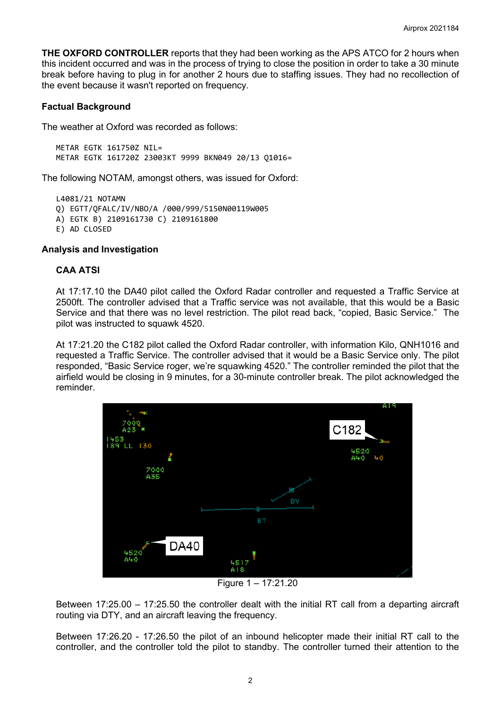**THE OXFORD CONTROLLER** reports that they had been working as the APS ATCO for 2 hours when this incident occurred and was in the process of trying to close the position in order to take a 30 minute break before having to plug in for another 2 hours due to staffing issues. They had no recollection of the event because it wasn't reported on frequency.

### **Factual Background**

The weather at Oxford was recorded as follows:

 $MFTAR$  FGTK 161750Z NTI = METAR EGTK 161720Z 23003KT 9999 BKN049 20/13 Q1016=

The following NOTAM, amongst others, was issued for Oxford:

L4081/21 NOTAMN Q) EGTT/QFALC/IV/NBO/A /000/999/5150N00119W005 A) EGTK B) 2109161730 C) 2109161800 E) AD CLOSED

#### **Analysis and Investigation**

### **CAA ATSI**

At 17:17.10 the DA40 pilot called the Oxford Radar controller and requested a Traffic Service at 2500ft. The controller advised that a Traffic service was not available, that this would be a Basic Service and that there was no level restriction. The pilot read back, "copied, Basic Service." The pilot was instructed to squawk 4520.

At 17:21.20 the C182 pilot called the Oxford Radar controller, with information Kilo, QNH1016 and requested a Traffic Service. The controller advised that it would be a Basic Service only. The pilot responded, "Basic Service roger, we're squawking 4520." The controller reminded the pilot that the airfield would be closing in 9 minutes, for a 30-minute controller break. The pilot acknowledged the reminder.



Figure 1 – 17:21.20

Between 17:25.00 – 17:25.50 the controller dealt with the initial RT call from a departing aircraft routing via DTY, and an aircraft leaving the frequency.

Between 17:26.20 - 17:26.50 the pilot of an inbound helicopter made their initial RT call to the controller, and the controller told the pilot to standby. The controller turned their attention to the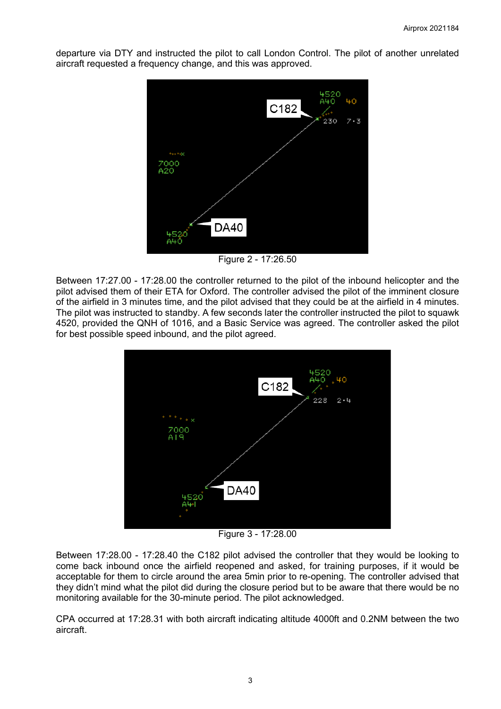departure via DTY and instructed the pilot to call London Control. The pilot of another unrelated aircraft requested a frequency change, and this was approved.



Figure 2 - 17:26.50

Between 17:27.00 - 17:28.00 the controller returned to the pilot of the inbound helicopter and the pilot advised them of their ETA for Oxford. The controller advised the pilot of the imminent closure of the airfield in 3 minutes time, and the pilot advised that they could be at the airfield in 4 minutes. The pilot was instructed to standby. A few seconds later the controller instructed the pilot to squawk 4520, provided the QNH of 1016, and a Basic Service was agreed. The controller asked the pilot for best possible speed inbound, and the pilot agreed.



Figure 3 - 17:28.00

Between 17:28.00 - 17:28.40 the C182 pilot advised the controller that they would be looking to come back inbound once the airfield reopened and asked, for training purposes, if it would be acceptable for them to circle around the area 5min prior to re-opening. The controller advised that they didn't mind what the pilot did during the closure period but to be aware that there would be no monitoring available for the 30-minute period. The pilot acknowledged.

CPA occurred at 17:28.31 with both aircraft indicating altitude 4000ft and 0.2NM between the two aircraft.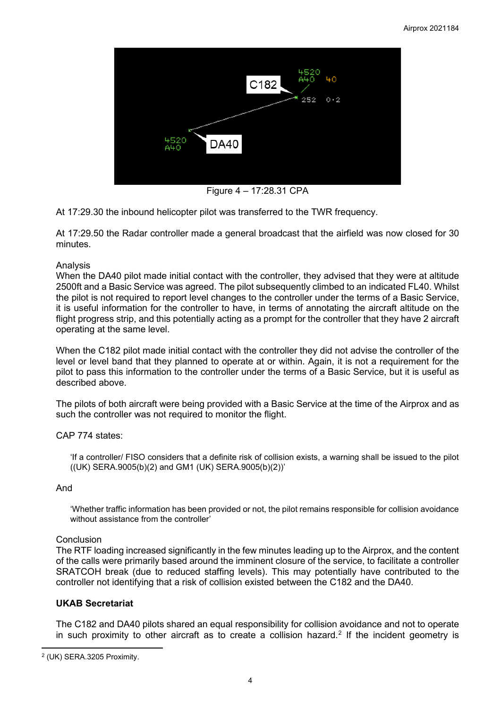

Figure 4 – 17:28.31 CPA

At 17:29.30 the inbound helicopter pilot was transferred to the TWR frequency.

At 17:29.50 the Radar controller made a general broadcast that the airfield was now closed for 30 minutes.

### Analysis

When the DA40 pilot made initial contact with the controller, they advised that they were at altitude 2500ft and a Basic Service was agreed. The pilot subsequently climbed to an indicated FL40. Whilst the pilot is not required to report level changes to the controller under the terms of a Basic Service, it is useful information for the controller to have, in terms of annotating the aircraft altitude on the flight progress strip, and this potentially acting as a prompt for the controller that they have 2 aircraft operating at the same level.

When the C182 pilot made initial contact with the controller they did not advise the controller of the level or level band that they planned to operate at or within. Again, it is not a requirement for the pilot to pass this information to the controller under the terms of a Basic Service, but it is useful as described above.

The pilots of both aircraft were being provided with a Basic Service at the time of the Airprox and as such the controller was not required to monitor the flight.

# CAP 774 states:

'If a controller/ FISO considers that a definite risk of collision exists, a warning shall be issued to the pilot ((UK) SERA.9005(b)(2) and GM1 (UK) SERA.9005(b)(2))'

# And

'Whether traffic information has been provided or not, the pilot remains responsible for collision avoidance without assistance from the controller'

#### Conclusion

The RTF loading increased significantly in the few minutes leading up to the Airprox, and the content of the calls were primarily based around the imminent closure of the service, to facilitate a controller SRATCOH break (due to reduced staffing levels). This may potentially have contributed to the controller not identifying that a risk of collision existed between the C182 and the DA40.

# **UKAB Secretariat**

The C182 and DA40 pilots shared an equal responsibility for collision avoidance and not to operate in such proximity to other aircraft as to create a collision hazard.<sup>[2](#page-3-0)</sup> If the incident geometry is

<span id="page-3-0"></span><sup>2</sup> (UK) SERA.3205 Proximity.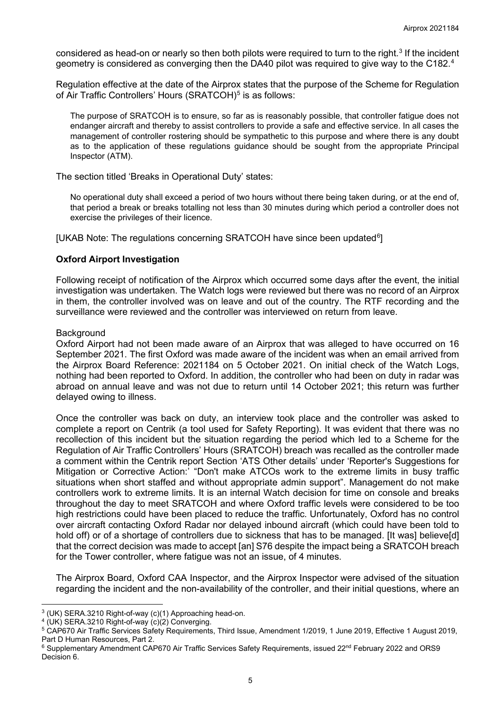considered as head-on or nearly so then both pilots were required to turn to the right.<sup>[3](#page-4-0)</sup> If the incident geometry is considered as converging then the DA[4](#page-4-1)0 pilot was required to give way to the C182.<sup>4</sup>

Regulation effective at the date of the Airprox states that the purpose of the Scheme for Regulation of Air Traffic Controllers' Hours (SRATCOH)<sup>[5](#page-4-2)</sup> is as follows:

The purpose of SRATCOH is to ensure, so far as is reasonably possible, that controller fatigue does not endanger aircraft and thereby to assist controllers to provide a safe and effective service. In all cases the management of controller rostering should be sympathetic to this purpose and where there is any doubt as to the application of these regulations guidance should be sought from the appropriate Principal Inspector (ATM).

The section titled 'Breaks in Operational Duty' states:

No operational duty shall exceed a period of two hours without there being taken during, or at the end of, that period a break or breaks totalling not less than 30 minutes during which period a controller does not exercise the privileges of their licence.

[UKAB Note: The regulations concerning SRATCOH have since been updated $^6$  $^6$ ]

#### **Oxford Airport Investigation**

Following receipt of notification of the Airprox which occurred some days after the event, the initial investigation was undertaken. The Watch logs were reviewed but there was no record of an Airprox in them, the controller involved was on leave and out of the country. The RTF recording and the surveillance were reviewed and the controller was interviewed on return from leave.

#### **Background**

Oxford Airport had not been made aware of an Airprox that was alleged to have occurred on 16 September 2021. The first Oxford was made aware of the incident was when an email arrived from the Airprox Board Reference: 2021184 on 5 October 2021. On initial check of the Watch Logs, nothing had been reported to Oxford. In addition, the controller who had been on duty in radar was abroad on annual leave and was not due to return until 14 October 2021; this return was further delayed owing to illness.

Once the controller was back on duty, an interview took place and the controller was asked to complete a report on Centrik (a tool used for Safety Reporting). It was evident that there was no recollection of this incident but the situation regarding the period which led to a Scheme for the Regulation of Air Traffic Controllers' Hours (SRATCOH) breach was recalled as the controller made a comment within the Centrik report Section 'ATS Other details' under 'Reporter's Suggestions for Mitigation or Corrective Action:' "Don't make ATCOs work to the extreme limits in busy traffic situations when short staffed and without appropriate admin support". Management do not make controllers work to extreme limits. It is an internal Watch decision for time on console and breaks throughout the day to meet SRATCOH and where Oxford traffic levels were considered to be too high restrictions could have been placed to reduce the traffic. Unfortunately, Oxford has no control over aircraft contacting Oxford Radar nor delayed inbound aircraft (which could have been told to hold off) or of a shortage of controllers due to sickness that has to be managed. Ilt wasl believe[d] that the correct decision was made to accept [an] S76 despite the impact being a SRATCOH breach for the Tower controller, where fatigue was not an issue, of 4 minutes.

The Airprox Board, Oxford CAA Inspector, and the Airprox Inspector were advised of the situation regarding the incident and the non-availability of the controller, and their initial questions, where an

<span id="page-4-0"></span><sup>3</sup> (UK) SERA.3210 Right-of-way (c)(1) Approaching head-on.

<span id="page-4-1"></span><sup>4</sup> (UK) SERA.3210 Right-of-way (c)(2) Converging.

<span id="page-4-2"></span><sup>5</sup> CAP670 Air Traffic Services Safety Requirements, Third Issue, Amendment 1/2019, 1 June 2019, Effective 1 August 2019, Part D Human Resources, Part 2.

<span id="page-4-3"></span><sup>&</sup>lt;sup>6</sup> Supplementary Amendment CAP670 Air Traffic Services Safety Requirements, issued 22<sup>nd</sup> February 2022 and ORS9 Decision 6.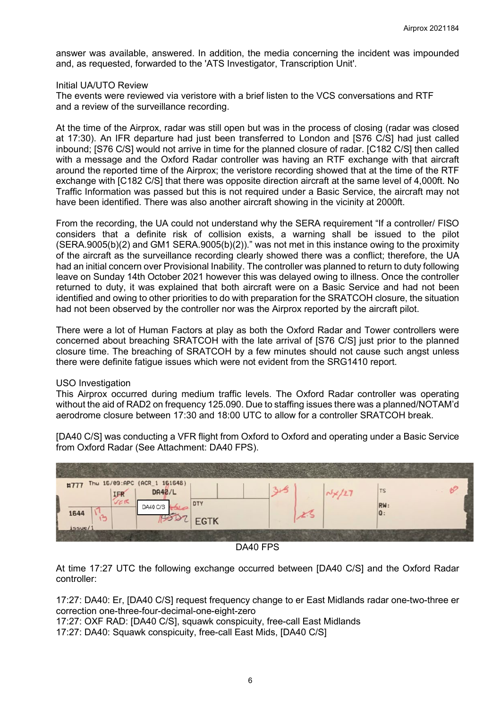answer was available, answered. In addition, the media concerning the incident was impounded and, as requested, forwarded to the 'ATS Investigator, Transcription Unit'.

### Initial UA/UTO Review

The events were reviewed via veristore with a brief listen to the VCS conversations and RTF and a review of the surveillance recording.

At the time of the Airprox, radar was still open but was in the process of closing (radar was closed at 17:30). An IFR departure had just been transferred to London and [S76 C/S] had just called inbound; [S76 C/S] would not arrive in time for the planned closure of radar. [C182 C/S] then called with a message and the Oxford Radar controller was having an RTF exchange with that aircraft around the reported time of the Airprox; the veristore recording showed that at the time of the RTF exchange with [C182 C/S] that there was opposite direction aircraft at the same level of 4,000ft. No Traffic Information was passed but this is not required under a Basic Service, the aircraft may not have been identified. There was also another aircraft showing in the vicinity at 2000ft.

From the recording, the UA could not understand why the SERA requirement "If a controller/ FISO considers that a definite risk of collision exists, a warning shall be issued to the pilot (SERA.9005(b)(2) and GM1 SERA.9005(b)(2))." was not met in this instance owing to the proximity of the aircraft as the surveillance recording clearly showed there was a conflict; therefore, the UA had an initial concern over Provisional Inability. The controller was planned to return to duty following leave on Sunday 14th October 2021 however this was delayed owing to illness. Once the controller returned to duty, it was explained that both aircraft were on a Basic Service and had not been identified and owing to other priorities to do with preparation for the SRATCOH closure, the situation had not been observed by the controller nor was the Airprox reported by the aircraft pilot.

There were a lot of Human Factors at play as both the Oxford Radar and Tower controllers were concerned about breaching SRATCOH with the late arrival of [S76 C/S] just prior to the planned closure time. The breaching of SRATCOH by a few minutes should not cause such angst unless there were definite fatigue issues which were not evident from the SRG1410 report.

# USO Investigation

This Airprox occurred during medium traffic levels. The Oxford Radar controller was operating without the aid of RAD2 on frequency 125.090. Due to staffing issues there was a planned/NOTAM'd aerodrome closure between 17:30 and 18:00 UTC to allow for a controller SRATCOH break.

[DA40 C/S] was conducting a VFR flight from Oxford to Oxford and operating under a Basic Service from Oxford Radar (See Attachment: DA40 FPS).



DA40 FPS

At time 17:27 UTC the following exchange occurred between [DA40 C/S] and the Oxford Radar controller:

17:27: DA40: Er, [DA40 C/S] request frequency change to er East Midlands radar one-two-three er correction one-three-four-decimal-one-eight-zero

17:27: OXF RAD: [DA40 C/S], squawk conspicuity, free-call East Midlands 17:27: DA40: Squawk conspicuity, free-call East Mids, [DA40 C/S]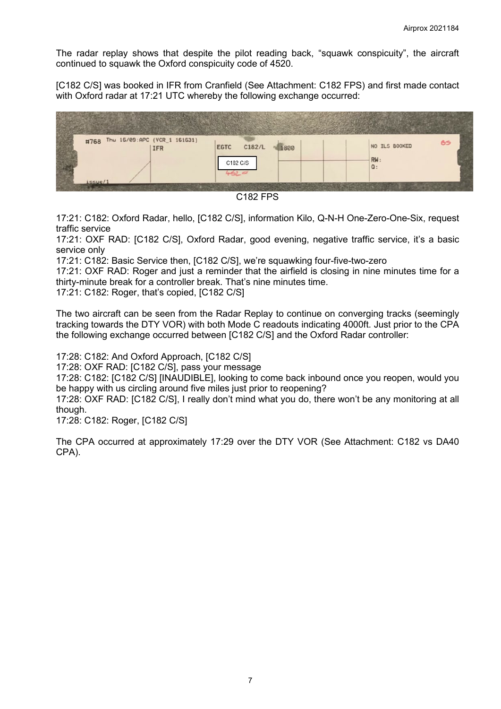The radar replay shows that despite the pilot reading back, "squawk conspicuity", the aircraft continued to squawk the Oxford conspicuity code of 4520.

[C182 C/S] was booked in IFR from Cranfield (See Attachment: C182 FPS) and first made contact with Oxford radar at 17:21 UTC whereby the following exchange occurred:





17:21: C182: Oxford Radar, hello, [C182 C/S], information Kilo, Q-N-H One-Zero-One-Six, request traffic service

17:21: OXF RAD: [C182 C/S], Oxford Radar, good evening, negative traffic service, it's a basic service only

17:21: C182: Basic Service then, [C182 C/S], we're squawking four-five-two-zero

17:21: OXF RAD: Roger and just a reminder that the airfield is closing in nine minutes time for a thirty-minute break for a controller break. That's nine minutes time.

17:21: C182: Roger, that's copied, [C182 C/S]

The two aircraft can be seen from the Radar Replay to continue on converging tracks (seemingly tracking towards the DTY VOR) with both Mode C readouts indicating 4000ft. Just prior to the CPA the following exchange occurred between [C182 C/S] and the Oxford Radar controller:

17:28: C182: And Oxford Approach, [C182 C/S]

17:28: OXF RAD: [C182 C/S], pass your message

17:28: C182: [C182 C/S] [INAUDIBLE], looking to come back inbound once you reopen, would you be happy with us circling around five miles just prior to reopening?

17:28: OXF RAD: [C182 C/S], I really don't mind what you do, there won't be any monitoring at all though.

17:28: C182: Roger, [C182 C/S]

The CPA occurred at approximately 17:29 over the DTY VOR (See Attachment: C182 vs DA40 CPA).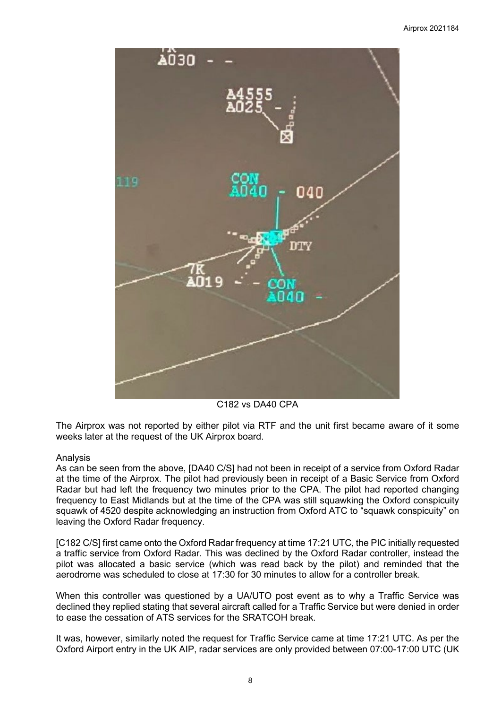

C182 vs DA40 CPA

The Airprox was not reported by either pilot via RTF and the unit first became aware of it some weeks later at the request of the UK Airprox board.

# Analysis

As can be seen from the above, [DA40 C/S] had not been in receipt of a service from Oxford Radar at the time of the Airprox. The pilot had previously been in receipt of a Basic Service from Oxford Radar but had left the frequency two minutes prior to the CPA. The pilot had reported changing frequency to East Midlands but at the time of the CPA was still squawking the Oxford conspicuity squawk of 4520 despite acknowledging an instruction from Oxford ATC to "squawk conspicuity" on leaving the Oxford Radar frequency.

[C182 C/S] first came onto the Oxford Radar frequency at time 17:21 UTC, the PIC initially requested a traffic service from Oxford Radar. This was declined by the Oxford Radar controller, instead the pilot was allocated a basic service (which was read back by the pilot) and reminded that the aerodrome was scheduled to close at 17:30 for 30 minutes to allow for a controller break.

When this controller was questioned by a UA/UTO post event as to why a Traffic Service was declined they replied stating that several aircraft called for a Traffic Service but were denied in order to ease the cessation of ATS services for the SRATCOH break.

It was, however, similarly noted the request for Traffic Service came at time 17:21 UTC. As per the Oxford Airport entry in the UK AIP, radar services are only provided between 07:00-17:00 UTC (UK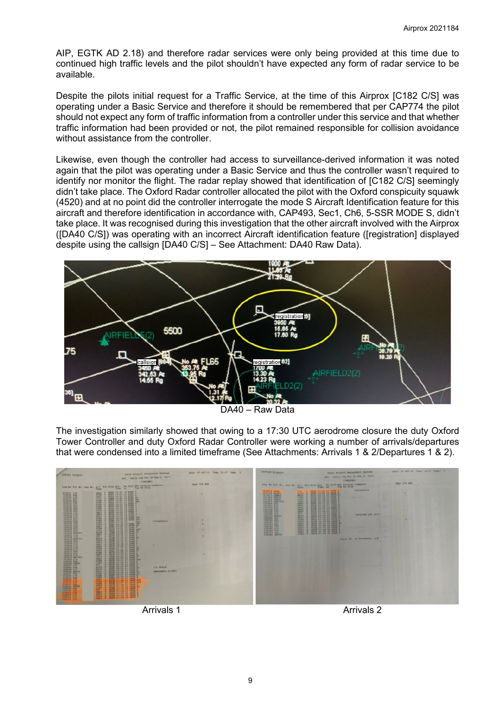AIP, EGTK AD 2.18) and therefore radar services were only being provided at this time due to continued high traffic levels and the pilot shouldn't have expected any form of radar service to be available.

Despite the pilots initial request for a Traffic Service, at the time of this Airprox [C182 C/S] was operating under a Basic Service and therefore it should be remembered that per CAP774 the pilot should not expect any form of traffic information from a controller under this service and that whether traffic information had been provided or not, the pilot remained responsible for collision avoidance without assistance from the controller.

Likewise, even though the controller had access to surveillance-derived information it was noted again that the pilot was operating under a Basic Service and thus the controller wasn't required to identify nor monitor the flight. The radar replay showed that identification of [C182 C/S] seemingly didn't take place. The Oxford Radar controller allocated the pilot with the Oxford conspicuity squawk (4520) and at no point did the controller interrogate the mode S Aircraft Identification feature for this aircraft and therefore identification in accordance with, CAP493, Sec1, Ch6, 5-SSR MODE S, didn't take place. It was recognised during this investigation that the other aircraft involved with the Airprox ([DA40 C/S]) was operating with an incorrect Aircraft identification feature ([registration] displayed despite using the callsign [DA40 C/S] – See Attachment: DA40 Raw Data).



DA40 – Raw Data

The investigation similarly showed that owing to a 17:30 UTC aerodrome closure the duty Oxford Tower Controller and duty Oxford Radar Controller were working a number of arrivals/departures that were condensed into a limited timeframe (See Attachments: Arrivals 1 & 2/Departures 1 & 2).



Arrivals 1 Arrivals 2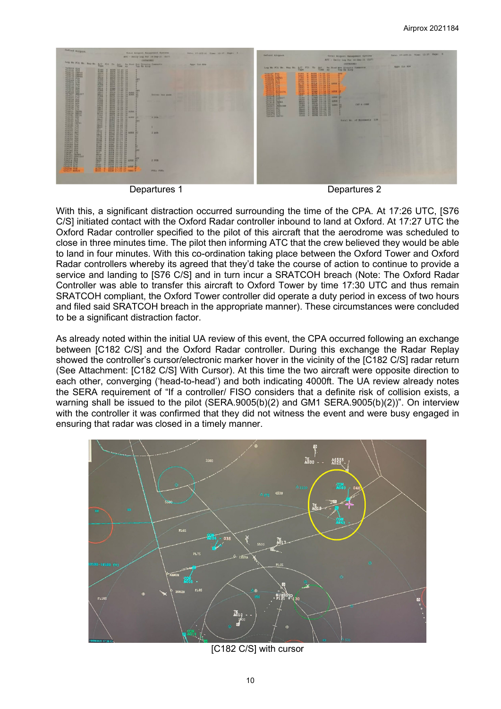

Departures 1 Departures 2

With this, a significant distraction occurred surrounding the time of the CPA. At 17:26 UTC, [S76 C/S] initiated contact with the Oxford Radar controller inbound to land at Oxford. At 17:27 UTC the Oxford Radar controller specified to the pilot of this aircraft that the aerodrome was scheduled to close in three minutes time. The pilot then informing ATC that the crew believed they would be able to land in four minutes. With this co-ordination taking place between the Oxford Tower and Oxford Radar controllers whereby its agreed that they'd take the course of action to continue to provide a service and landing to [S76 C/S] and in turn incur a SRATCOH breach (Note: The Oxford Radar Controller was able to transfer this aircraft to Oxford Tower by time 17:30 UTC and thus remain SRATCOH compliant, the Oxford Tower controller did operate a duty period in excess of two hours and filed said SRATCOH breach in the appropriate manner). These circumstances were concluded to be a significant distraction factor.

As already noted within the initial UA review of this event, the CPA occurred following an exchange between [C182 C/S] and the Oxford Radar controller. During this exchange the Radar Replay showed the controller's cursor/electronic marker hover in the vicinity of the [C182 C/S] radar return (See Attachment: [C182 C/S] With Cursor). At this time the two aircraft were opposite direction to each other, converging ('head-to-head') and both indicating 4000ft. The UA review already notes the SERA requirement of "If a controller/ FISO considers that a definite risk of collision exists, a warning shall be issued to the pilot (SERA.9005(b)(2) and GM1 SERA.9005(b)(2))". On interview with the controller it was confirmed that they did not witness the event and were busy engaged in ensuring that radar was closed in a timely manner.



[C182 C/S] with cursor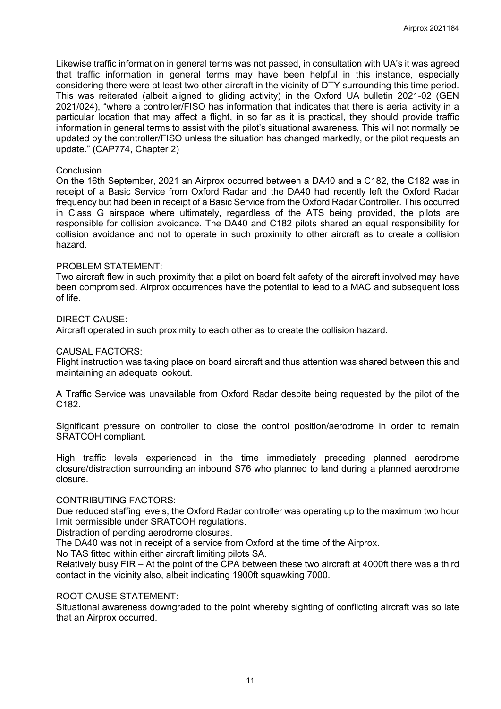Likewise traffic information in general terms was not passed, in consultation with UA's it was agreed that traffic information in general terms may have been helpful in this instance, especially considering there were at least two other aircraft in the vicinity of DTY surrounding this time period. This was reiterated (albeit aligned to gliding activity) in the Oxford UA bulletin 2021-02 (GEN 2021/024), "where a controller/FISO has information that indicates that there is aerial activity in a particular location that may affect a flight, in so far as it is practical, they should provide traffic information in general terms to assist with the pilot's situational awareness. This will not normally be updated by the controller/FISO unless the situation has changed markedly, or the pilot requests an update." (CAP774, Chapter 2)

### **Conclusion**

On the 16th September, 2021 an Airprox occurred between a DA40 and a C182, the C182 was in receipt of a Basic Service from Oxford Radar and the DA40 had recently left the Oxford Radar frequency but had been in receipt of a Basic Service from the Oxford Radar Controller. This occurred in Class G airspace where ultimately, regardless of the ATS being provided, the pilots are responsible for collision avoidance. The DA40 and C182 pilots shared an equal responsibility for collision avoidance and not to operate in such proximity to other aircraft as to create a collision hazard.

### PROBLEM STATEMENT:

Two aircraft flew in such proximity that a pilot on board felt safety of the aircraft involved may have been compromised. Airprox occurrences have the potential to lead to a MAC and subsequent loss of life.

### DIRECT CAUSE:

Aircraft operated in such proximity to each other as to create the collision hazard.

### CAUSAL FACTORS:

Flight instruction was taking place on board aircraft and thus attention was shared between this and maintaining an adequate lookout.

A Traffic Service was unavailable from Oxford Radar despite being requested by the pilot of the C182.

Significant pressure on controller to close the control position/aerodrome in order to remain SRATCOH compliant.

High traffic levels experienced in the time immediately preceding planned aerodrome closure/distraction surrounding an inbound S76 who planned to land during a planned aerodrome closure.

#### CONTRIBUTING FACTORS:

Due reduced staffing levels, the Oxford Radar controller was operating up to the maximum two hour limit permissible under SRATCOH regulations.

Distraction of pending aerodrome closures.

The DA40 was not in receipt of a service from Oxford at the time of the Airprox.

No TAS fitted within either aircraft limiting pilots SA.

Relatively busy FIR – At the point of the CPA between these two aircraft at 4000ft there was a third contact in the vicinity also, albeit indicating 1900ft squawking 7000.

### ROOT CAUSE STATEMENT:

Situational awareness downgraded to the point whereby sighting of conflicting aircraft was so late that an Airprox occurred.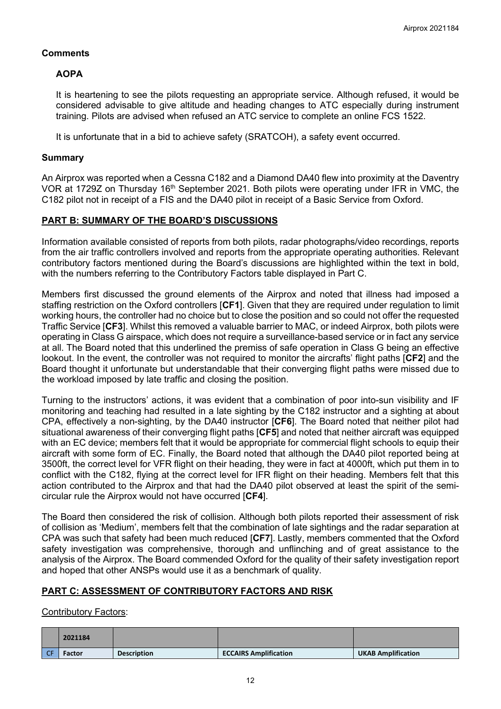# **Comments**

# **AOPA**

It is heartening to see the pilots requesting an appropriate service. Although refused, it would be considered advisable to give altitude and heading changes to ATC especially during instrument training. Pilots are advised when refused an ATC service to complete an online FCS 1522.

It is unfortunate that in a bid to achieve safety (SRATCOH), a safety event occurred.

### **Summary**

An Airprox was reported when a Cessna C182 and a Diamond DA40 flew into proximity at the Daventry VOR at 1729Z on Thursday 16<sup>th</sup> September 2021. Both pilots were operating under IFR in VMC, the C182 pilot not in receipt of a FIS and the DA40 pilot in receipt of a Basic Service from Oxford.

# **PART B: SUMMARY OF THE BOARD'S DISCUSSIONS**

Information available consisted of reports from both pilots, radar photographs/video recordings, reports from the air traffic controllers involved and reports from the appropriate operating authorities. Relevant contributory factors mentioned during the Board's discussions are highlighted within the text in bold, with the numbers referring to the Contributory Factors table displayed in Part C.

Members first discussed the ground elements of the Airprox and noted that illness had imposed a staffing restriction on the Oxford controllers [**CF1**]. Given that they are required under regulation to limit working hours, the controller had no choice but to close the position and so could not offer the requested Traffic Service [**CF3**]. Whilst this removed a valuable barrier to MAC, or indeed Airprox, both pilots were operating in Class G airspace, which does not require a surveillance-based service or in fact any service at all. The Board noted that this underlined the premiss of safe operation in Class G being an effective lookout. In the event, the controller was not required to monitor the aircrafts' flight paths [**CF2**] and the Board thought it unfortunate but understandable that their converging flight paths were missed due to the workload imposed by late traffic and closing the position.

Turning to the instructors' actions, it was evident that a combination of poor into-sun visibility and IF monitoring and teaching had resulted in a late sighting by the C182 instructor and a sighting at about CPA, effectively a non-sighting, by the DA40 instructor [**CF6**]. The Board noted that neither pilot had situational awareness of their converging flight paths [**CF5**] and noted that neither aircraft was equipped with an EC device; members felt that it would be appropriate for commercial flight schools to equip their aircraft with some form of EC. Finally, the Board noted that although the DA40 pilot reported being at 3500ft, the correct level for VFR flight on their heading, they were in fact at 4000ft, which put them in to conflict with the C182, flying at the correct level for IFR flight on their heading. Members felt that this action contributed to the Airprox and that had the DA40 pilot observed at least the spirit of the semicircular rule the Airprox would not have occurred [**CF4**].

The Board then considered the risk of collision. Although both pilots reported their assessment of risk of collision as 'Medium', members felt that the combination of late sightings and the radar separation at CPA was such that safety had been much reduced [**CF7**]. Lastly, members commented that the Oxford safety investigation was comprehensive, thorough and unflinching and of great assistance to the analysis of the Airprox. The Board commended Oxford for the quality of their safety investigation report and hoped that other ANSPs would use it as a benchmark of quality.

# **PART C: ASSESSMENT OF CONTRIBUTORY FACTORS AND RISK**

### Contributory Factors:

|                | 2021184       |                    |                              |                           |
|----------------|---------------|--------------------|------------------------------|---------------------------|
| C <sub>E</sub> | <b>Factor</b> | <b>Description</b> | <b>ECCAIRS Amplification</b> | <b>UKAB Amplification</b> |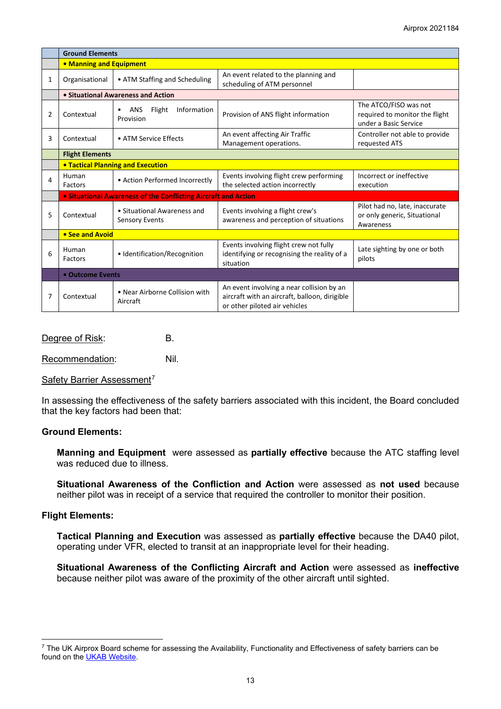|   | <b>Ground Elements</b>                                                |                                                       |                                                                                                                             |                                                                                  |  |  |  |  |
|---|-----------------------------------------------------------------------|-------------------------------------------------------|-----------------------------------------------------------------------------------------------------------------------------|----------------------------------------------------------------------------------|--|--|--|--|
|   | • Manning and Equipment                                               |                                                       |                                                                                                                             |                                                                                  |  |  |  |  |
| 1 | Organisational                                                        | • ATM Staffing and Scheduling                         | An event related to the planning and<br>scheduling of ATM personnel                                                         |                                                                                  |  |  |  |  |
|   | • Situational Awareness and Action                                    |                                                       |                                                                                                                             |                                                                                  |  |  |  |  |
| 2 | Contextual                                                            | Flight<br>Information<br><b>ANS</b><br>٠<br>Provision | Provision of ANS flight information                                                                                         | The ATCO/FISO was not<br>required to monitor the flight<br>under a Basic Service |  |  |  |  |
| 3 | Contextual                                                            | • ATM Service Effects                                 | An event affecting Air Traffic<br>Management operations.                                                                    | Controller not able to provide<br>requested ATS                                  |  |  |  |  |
|   | <b>Flight Elements</b>                                                |                                                       |                                                                                                                             |                                                                                  |  |  |  |  |
|   | <b>• Tactical Planning and Execution</b>                              |                                                       |                                                                                                                             |                                                                                  |  |  |  |  |
| 4 | Human<br>Factors                                                      | • Action Performed Incorrectly                        | Events involving flight crew performing<br>the selected action incorrectly                                                  | Incorrect or ineffective<br>execution                                            |  |  |  |  |
|   | <b>• Situational Awareness of the Conflicting Aircraft and Action</b> |                                                       |                                                                                                                             |                                                                                  |  |  |  |  |
| 5 | Contextual                                                            | • Situational Awareness and<br><b>Sensory Events</b>  | Events involving a flight crew's<br>awareness and perception of situations                                                  | Pilot had no, late, inaccurate<br>or only generic, Situational<br>Awareness      |  |  |  |  |
|   | • See and Avoid                                                       |                                                       |                                                                                                                             |                                                                                  |  |  |  |  |
| 6 | Human<br>• Identification/Recognition<br>Factors                      |                                                       | Events involving flight crew not fully<br>identifying or recognising the reality of a<br>situation                          | Late sighting by one or both<br>pilots                                           |  |  |  |  |
|   | • Outcome Events                                                      |                                                       |                                                                                                                             |                                                                                  |  |  |  |  |
| 7 | • Near Airborne Collision with<br>Contextual<br>Aircraft              |                                                       | An event involving a near collision by an<br>aircraft with an aircraft, balloon, dirigible<br>or other piloted air vehicles |                                                                                  |  |  |  |  |

Degree of Risk: B.

Recommendation: Nil.

Safety Barrier Assessment<sup>[7](#page-12-0)</sup>

In assessing the effectiveness of the safety barriers associated with this incident, the Board concluded that the key factors had been that:

### **Ground Elements:**

**Manning and Equipment** were assessed as **partially effective** because the ATC staffing level was reduced due to illness.

**Situational Awareness of the Confliction and Action** were assessed as **not used** because neither pilot was in receipt of a service that required the controller to monitor their position.

#### **Flight Elements:**

**Tactical Planning and Execution** was assessed as **partially effective** because the DA40 pilot, operating under VFR, elected to transit at an inappropriate level for their heading.

**Situational Awareness of the Conflicting Aircraft and Action** were assessed as **ineffective** because neither pilot was aware of the proximity of the other aircraft until sighted.

<span id="page-12-0"></span> $7$  The UK Airprox Board scheme for assessing the Availability, Functionality and Effectiveness of safety barriers can be found on the [UKAB Website.](http://www.airproxboard.org.uk/Learn-more/Airprox-Barrier-Assessment/)